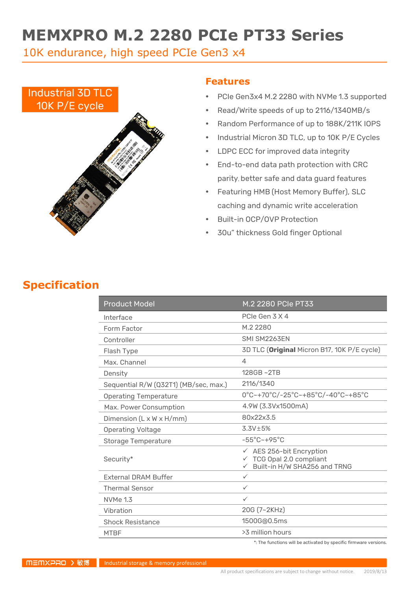# **MEMXPRO M.2 2280 PCIe PT33 Series**

10K endurance, high speed PCIe Gen3 x4



### **Features**

- PCIe Gen3x4 M.2 2280 with NVMe 1.3 supported
- Read/Write speeds of up to 2116/1340MB/s
- Random Performance of up to 188K/211K IOPS
- Industrial Micron 3D TLC, up to 10K P/E Cycles
- LDPC ECC for improved data integrity
- End-to-end data path protection with CRC parity, better safe and data guard features
- Featuring HMB (Host Memory Buffer), SLC caching and dynamic write acceleration
- Built-in OCP/OVP Protection
- 30u" thickness Gold finger Optional

## **Specification**

| <b>Product Model</b>                  | M.2 2280 PCIe PT33                                                                                 |  |
|---------------------------------------|----------------------------------------------------------------------------------------------------|--|
| Interface                             | PCIe Gen 3 X 4                                                                                     |  |
| Form Factor                           | M.2 2280                                                                                           |  |
| Controller                            | SMI SM2263FN                                                                                       |  |
| Flash Type                            | 3D TLC (Original Micron B17, 10K P/E cycle)                                                        |  |
| Max. Channel                          | 4                                                                                                  |  |
| Density                               | $128GB - 2TB$                                                                                      |  |
| Sequential R/W (Q32T1) (MB/sec, max.) | 2116/1340                                                                                          |  |
| <b>Operating Temperature</b>          | $0^{\circ}$ C~+70 $^{\circ}$ C/-25 $^{\circ}$ C~+85 $^{\circ}$ C/-40 $^{\circ}$ C~+85 $^{\circ}$ C |  |
| Max. Power Consumption                | 4.9W (3.3Vx1500mA)                                                                                 |  |
| Dimension $(L \times W \times H/mm)$  | 80x22x3.5                                                                                          |  |
| <b>Operating Voltage</b>              | $3.3V \pm 5%$                                                                                      |  |
| <b>Storage Temperature</b>            | $-55^{\circ}$ C ~ +95 $^{\circ}$ C                                                                 |  |
| Security*                             | $\checkmark$ AES 256-bit Encryption<br>TCG Opal 2.0 compliant<br>Built-in H/W SHA256 and TRNG      |  |
| <b>External DRAM Buffer</b>           | ✓                                                                                                  |  |
| <b>Thermal Sensor</b>                 | ✓                                                                                                  |  |
| <b>NVMe 1.3</b>                       | ✓                                                                                                  |  |
| Vibration                             | 20G (7~2KHz)                                                                                       |  |
| <b>Shock Resistance</b>               | 1500G@0.5ms                                                                                        |  |
| <b>MTBF</b>                           | >3 million hours                                                                                   |  |

\*: The functions will be activated by specific firmware versions.